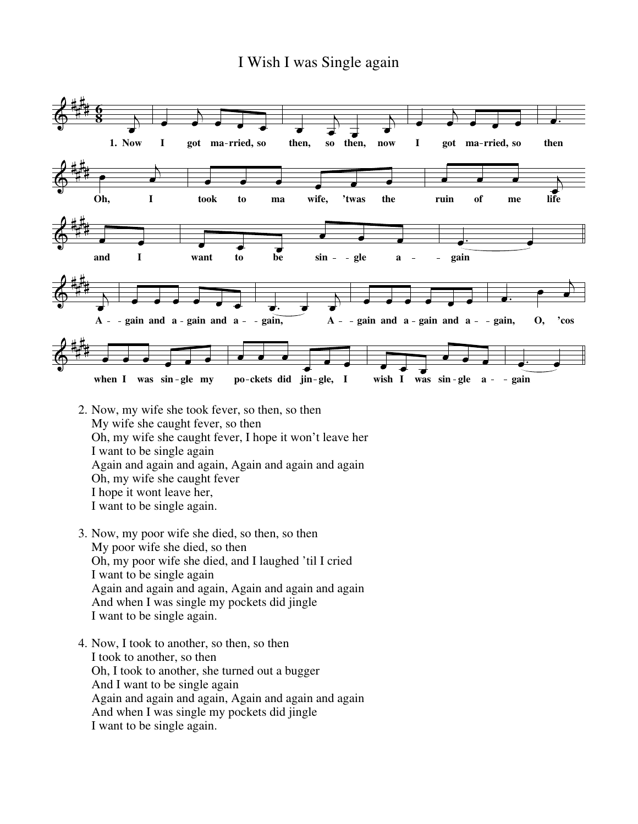## I Wish I was Single again



- 2. Now, my wife she took fever, so then, so then My wife she caught fever, so then Oh, my wife she caught fever, I hope it won't leave her I want to be single again Again and again and again, Again and again and again Oh, my wife she caught fever I hope it wont leave her, I want to be single again.
- 3. Now, my poor wife she died, so then, so then My poor wife she died, so then Oh, my poor wife she died, and I laughed 'til I cried I want to be single again Again and again and again, Again and again and again And when I was single my pockets did jingle I want to be single again.
- 4. Now, I took to another, so then, so then I took to another, so then Oh, I took to another, she turned out a bugger And I want to be single again Again and again and again, Again and again and again And when I was single my pockets did jingle I want to be single again.